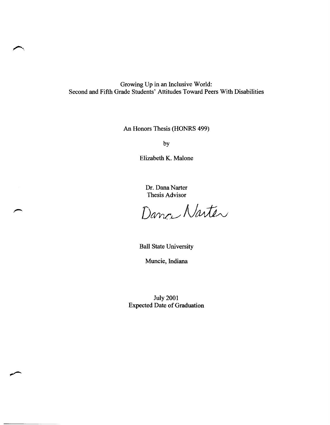Growing Up in an Inclusive World: Second and Fifth Grade Students' Attitudes Toward Peers With Disabilities

An Honors Thesis (HONRS 499)

by

Elizabeth K. Malone

Dr. Dana Narter Thesis Advisor

Dance Narter

Ball State University

Muncie, Indiana

July 2001 Expected Date of Graduation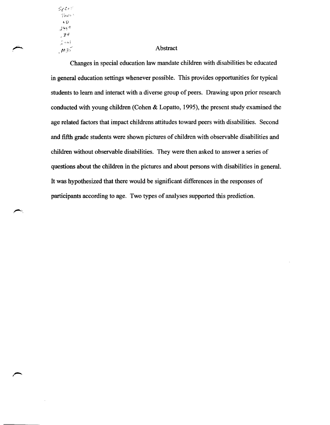$50$   $C$ <sup>2</sup>! Thes '-D *P't(J ,j'-l*   $200$  $M35$ 

## Abstract

Changes in special education law mandate children with disabilities be educated in general education settings whenever possible. This provides opportunities for typical students to learn and interact with a diverse group of peers. Drawing upon prior research conducted with young children (Cohen & Lopatto, 1995), the present study examined the age related factors that impact childrens attitudes toward peers with disabilities. Second and fifth grade students were shown pictures of children with observable disabilities and children without observable disabilities. They were then asked to answer a series of questions about the children in the pictures and about persons with disabilities in general. It was hypothesized that there would be significant differences in the responses of participants according to age. Two types of analyses supported this prediction.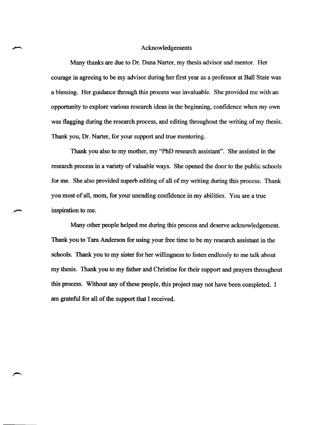#### Acknowledgements

Many thanks are due to Dr. Dana Narter, my thesis advisor and mentor. Her courage in agreeing to be my advisor during her first year as a professor at Ball State was a blessing. Her guidance through this process was invaluable. She provided me with an opportunity to explore various research ideas in the beginning, confidence when my own was flagging during the research process, and editing throughout the writing of my thesis. Thank you, Dr. Narter, for your support and true mentoring.

Thank you also to my mother, my "PhD research assistant". She assisted in the research process in a variety of valuable ways. She opened the door to the public schools for me. She also provided superb editing of all of my writing during this process. Thank you most of all, mom, for your unending confidence in my abilities. You are a true inspiration to me.

Many other people helped me during this process and deserve acknowledgement. Thank you to Tara Anderson for using your free time to be my research assistant in the schools. Thank you to my sister for her willingness to listen endlessly to me talk about my thesis. Thank you to my father and Christine for their support and prayers throughout this process. Without any of these people, this project may not have been completed. I am grateful for all of the support that I received.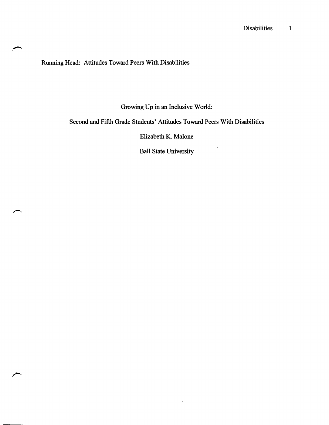Running Head: Attitudes Toward Peers With Disabilities

Growing Up in an Inclusive World:

Second and Fifth Grade Students' Attitudes Toward Peers With Disabilities

Elizabeth K. Malone

Ball State University

 $\sim$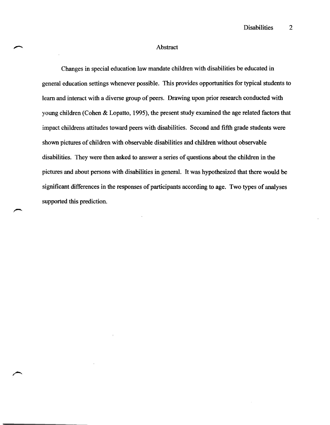## Abstract

Changes in special education law mandate children with disabilities be educated in general education settings whenever possible. This provides opportunities for typical students to learn and interact with a diverse group of peers. Drawing upon prior research conducted with young children (Cohen & Lopatto, 1995), the present study examined the age related factors that impact childrens attitudes toward peers with disabilities. Second and fifth grade students were shown pictures of children with observable disabilities and children without observable disabilities. They were then asked to answer a series of questions about the children in the pictures and about persons with disabilities in general. It was hypothesized that there would be significant differences in the responses of participants according to age. Two types of analyses supported this prediction.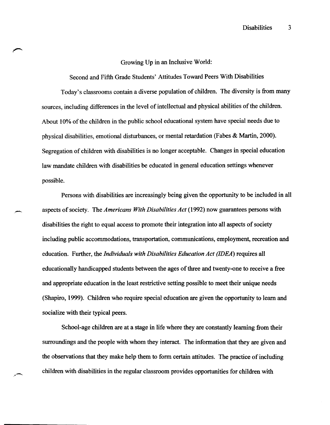### Growing Up in an Inclusive World:

Second and Fifth Grade Students' Attitudes Toward Peers With Disabilities Today's classrooms contain a diverse population of children. The diversity is from many sources, including differences in the level of intellectual and physical abilities of the children. About 10% of the children in the public school educational system have special needs due to physical disabilities, emotional disturbances, or mental retardation (Fabes & Martin, 2000). Segregation of children with disabilities is no longer acceptable. Changes in special education law mandate children with disabilities be educated in general education settings whenever possible.

Persons with disabilities are increasingly being given the opportunity to be included in all aspects of society. The *Americans With Disabilities Act* (1992) now guarantees persons with disabilities the right to equal access to promote their integration into all aspects of society including public accommodations, transportation, communications, employment, recreation and education. Further, the *Individuals with Disabilities Education Act (IDEA)* requires all educationally handicapped students between the ages of three and twenty-one to receive a free and appropriate education in the least restrictive setting possible to meet their unique needs (Shapiro, 1999). Children who require special education are given the opportunity to learn and socialize with their typical peers.

-

School-age children are at a stage in life where they are constantly learning from their surroundings and the people with whom they interact. The information that they are given and the observations that they make help them to form certain attitudes. The practice of including children with disabilities in the regular classroom provides opportunities for children with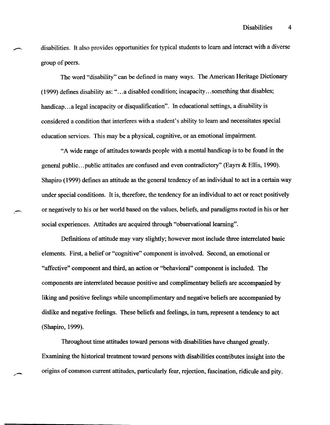disabilities. It also provides opportunities for typical students to learn and interact with a diverse group of peers.

The word "disability" can be defined in many ways. The American Heritage Dictionary  $(1999)$  defines disability as: "...a disabled condition; incapacity...something that disables; handicap... a legal incapacity or disqualification". In educational settings, a disability is considered a condition that interferes with a student's ability to learn and necessitates special education services. This may be a physical, cognitive, or an emotional impairment.

"A wide range of attitudes towards people with a mental handicap is to be found in the general public ... public attitudes are confused and even contradictory" (Eayrs & Ellis, 1990). Shapiro (1999) defines an attitude as the general tendency of an individual to act in a certain way under special conditions. It is, therefore, the tendency for an individual to act or react positively or negatively to his or her world based on the values, beliefs, and paradigms rooted in his or her social experiences. Attitudes are acquired through "observational learning".

Definitions of attitude may vary slightly; however most include three interrelated basic elements. First, a belief or "cognitive" component is involved. Second, an emotional or "affective" component and third, an action or "behavioral" component is included. The components are interrelated because positive and complimentary beliefs are accompanied by liking and positive feelings while uncomplimentary and negative beliefs are accompanied by dislike and negative feelings. These beliefs and feelings, in turn, represent a tendency to act (Shapiro, 1999).

Throughout time attitudes toward persons with disabilities have changed greatly. Examining the historical treatment toward persons with disabilities contributes insight into the origins of common current attitudes, particularly fear, rejection, fascination, ridicule and pity.

,,-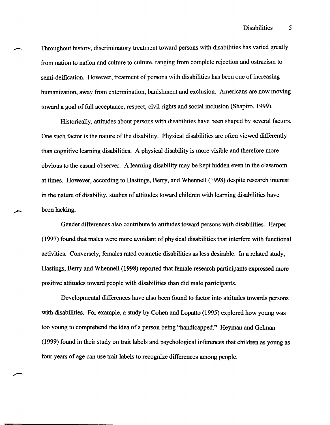Throughout history, discriminatory treatment toward persons with disabilities has varied greatly from nation to nation and culture to culture, ranging from complete rejection and ostracism to semi-deification. However, treatment of persons with disabilities has been one of increasing humanization, away from extermination, banishment and exclusion. Americans are now moving toward a goal of full acceptance, respect, civil rights and social inclusion (Shapiro, 1999).

Historically, attitudes about persons with disabilities have been shaped by several factors. One such factor is the nature of the disability. Physical disabilities are often viewed differently than cognitive learning disabilities. A physical disability is more visible and therefore more obvious to the casual observer. A learning disability may be kept hidden even in the classroom at times. However, according to Hastings, Berry, and Whennell (1998) despite research interest in the nature of disability, studies of attitudes toward children with learning disabilities have been lacking.

Gender differences also contribute to attitudes toward persons with disabilities. Harper (1997) found that males were more avoidant of physical disabilities that interfere with functional activities. Conversely, females rated cosmetic disabilities as less desirable. In a related study, Hastings, Berry and Whennell (1998) reported that female research participants expressed more positive attitudes toward people with disabilities than did male participants.

Developmental differences have also been found to factor into attitudes towards persons with disabilities. For example, a study by Cohen and Lopatto (1995) explored how young was too young to comprehend the idea of a person being "handicapped." Heyman and Gelman (1999) found in their study on trait labels and psychological inferences that children as young as four years of age can use trait labels to recognize differences among people.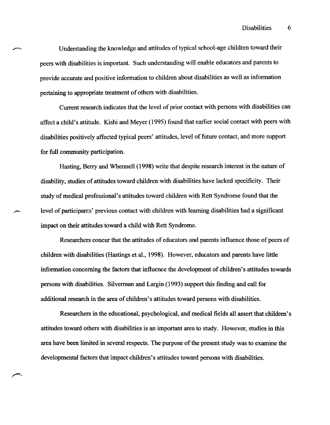Understanding the knowledge and attitudes of typical school-age children toward their peers with disabilities is important. Such understanding will enable educators and parents to provide accurate and positive information to children about disabilities as well as information pertaining to appropriate treatment of others with disabilities.

Current research indicates that the level of prior contact with persons with disabilities can affect a child's attitude. Kishi and Meyer (1995) found that earlier social contact with peers with disabilities positively affected typical peers' attitudes, level of future contact, and more support for full community participation.

Hasting, Berry and Whennell (1998) write that despite research interest in the nature of disability, studies of attitudes toward children with disabilities have lacked specificity. Their study of medical professional's attitudes toward children with Rett Syndrome found that the level of participants' previous contact with children with learning disabilities had a significant impact on their attitudes toward a child with Rett Syndrome.

Researchers concur that the attitudes of educators and parents influence those of peers of children with disabilities (Hastings et al., 1998). However, educators and parents have little information concerning the factors that influence the development of children's attitudes towards persons with disabilities. Silverman and Largin (1993) support this finding and call for additional research in the area of children's attitudes toward persons with disabilities.

Researchers in the educational, psychological, and medical fields all assert that children's attitudes toward others with disabilities is an important area to study. However, studies in this area have been limited in several respects. The purpose of the present study was to examine the developmental factors that impact children's attitudes toward persons with disabilities.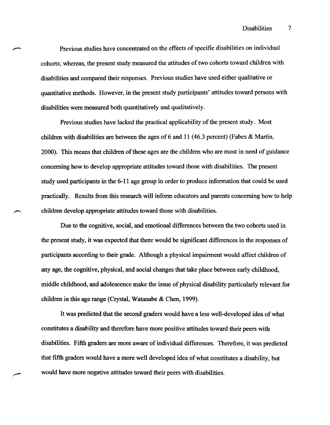Previous studies have concentrated on the effects of specific disabilities on individual cohorts; whereas, the present study measured the attitudes of two cohorts toward children with disabilities and compared their responses. Previous studies have used either qualitative or quantitative methods. However, in the present study participants' attitudes toward persons with disabilities were measured both quantitatively and qualitatively.

Previous studies have lacked the practical applicability of the present study. Most children with disabilities are between the ages of 6 and 11 (46.3 percent) (Fabes & Martin, 2000). This means that children of these ages are the children who are most in need of guidance concerning how to develop appropriate attitudes toward those with disabilities. The present study used participants in the 6-11 age group in order to produce information that could be used practically. Results from this research will inform educators and parents concerning how to help children develop appropriate attitudes toward those with disabilities.

Due to the cognitive, social, and emotional differences between the two cohorts used in the present study, it was expected that there would be significant differences in the responses of participants according to their grade. Although a physical impairment would affect children of any age, the cognitive, physical, and social changes that take place between early childhood, middle childhood, and adolescence make the issue of physical disability particularly relevant for children in this age range (Crystal, Watanabe & Chen, 1999).

It was predicted that the second graders would have a less well-developed idea of what constitutes a disability and therefore have more positive attitudes toward their peers with disabilities. Fifth graders are more aware of individual differences. Therefore, it was predicted that fifth graders would have a more well developed idea of what constitutes a disability, but would have more negative attitudes toward their peers with disabilities.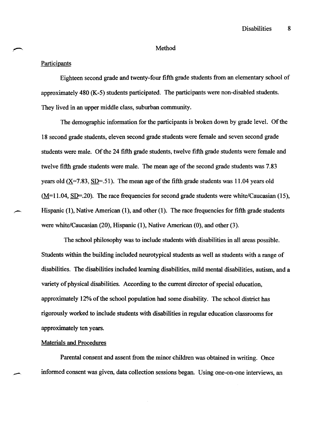## Method

## **Participants**

Eighteen second grade and twenty-four fifth grade students from an elementary school of approximately 480 (K-5) students participated. The participants were non-disabled students. They lived in an upper middle class, suburban community.

The demographic information for the participants is broken down by grade level. Of the 18 second grade students, eleven second grade students were female and seven second grade students were male. Of the 24 fifth grade students, twelve fifth grade students were female and twelve fifth grade students were male. The mean age of the second grade students was 7.83 years old  $(X=7.83, SD=0.51)$ . The mean age of the fifth grade students was 11.04 years old  $(M=11.04, SD=.20)$ . The race frequencies for second grade students were white/Caucasian (15), Hispanic (1), Native American (1), and other (1). The race frequencies for fifth grade students were white/Caucasian (20), Hispanic (1), Native American (0), and other (3).

The school philosophy was to include students with disabilities in all areas possible. Students within the building included neurotypical students as well as students with a range of disabilities. The disabilities included learning disabilities, mild mental disabilities, autism, and a variety of physical disabilities. According to the current director of special education, approximately 12% of the school population had some disability. The school district has rigorously worked to include students with disabilities in regular education classrooms for approximately ten years.

## Materials and Procedures

--

Parental consent and assent from the minor children was obtained in writing. Once informed consent was given, data collection sessions began. Using one-on-one interviews, an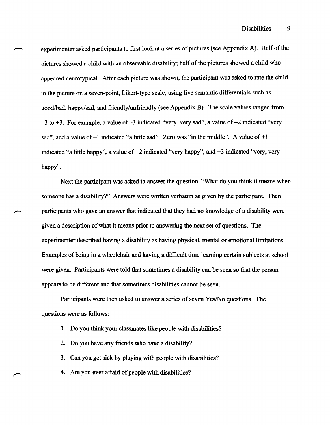experimenter asked participants to first look at a series of pictures (see Appendix A). Half of the pictures showed a child with an observable disability; half of the pictures showed a child who appeared neurotypical. After each picture was shown, the participant was asked to rate the child in the picture on a seven-point, Likert-type scale, using five semantic differentials such as good/bad, happy/sad, and friendly/unfriendly (see Appendix B). The scale values ranged from  $-3$  to  $+3$ . For example, a value of  $-3$  indicated "very, very sad", a value of  $-2$  indicated "very sad", and a value of  $-1$  indicated "a little sad". Zero was "in the middle". A value of  $+1$ indicated "a little happy", a value of +2 indicated "very happy", and +3 indicated "very, very happy".

Next the participant was asked to answer the question, "What do you think it means when someone has a disability?" Answers were written verbatim as given by the participant. Then participants who gave an answer that indicated that they had no knowledge of a disability were given a description of what it means prior to answering the next set of questions. The experimenter described having a disability as having physical, mental or emotional limitations. Examples of being in a wheelchair and having a difficult time learning certain subjects at school were given. Participants were told that sometimes a disability can be seen so that the person appears to be different and that sometimes disabilities cannot be seen.

Participants were then asked to answer a series of seven Yes/No questions. The questions were as follows:

- 1. Do you think your classmates like people with disabilities?
- 2. Do you have any friends who have a disability?
- 3. Can you get sick by playing with people with disabilities?
- 4. Are you ever afraid of people with disabilities?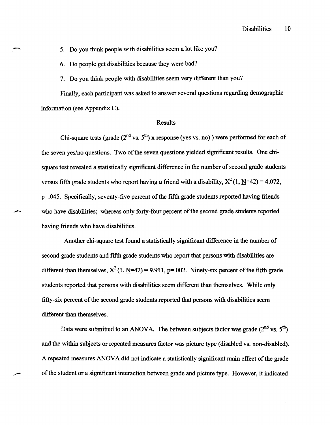5. Do you think people with disabilities seem a lot like you?

6. Do people get disabilities because they were bad?

-,

7. Do you think people with disabilities seem very different than you?

Finally, each participant was asked to answer several questions regarding demographic information (see Appendix C).

## Results

Chi-square tests (grade ( $2<sup>nd</sup>$  vs.  $5<sup>th</sup>$ ) x response (yes vs. no)) were performed for each of the seven yes/no questions. Two of the seven questions yielded significant results. One chisquare test revealed a statistically significant difference in the number of second grade students versus fifth grade students who report having a friend with a disability,  $X^2(1, \underline{N}=42) = 4.072$ , p=.045. Specifically, seventy-five percent of the fifth grade students reported having friends who have disabilities; whereas only forty-four percent of the second grade students reported having friends who have disabilities.

Another chi-square test found a statistically significant difference in the number of second grade students and fifth grade students who report that persons with disabilities are different than themselves,  $X^2(1, N=42) = 9.911$ , p=.002. Ninety-six percent of the fifth grade students reported that persons with disabilities seem different than themselves. While only fifty-six percent of the second grade students reported that persons with disabilities seem different than themselves.

Data were submitted to an ANOVA. The between subjects factor was grade  $(2^{nd}$  vs.  $5^{th}$ ) and the within subjects or repeated measures factor was picture type (disabled vs. non-disabled). A repeated measures ANOV A did not indicate a statistically significant main effect of the grade of the student or a significant interaction between grade and picture type. However, it indicated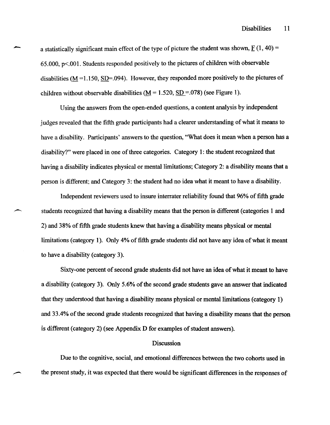a statistically significant main effect of the type of picture the student was shown,  $F(1, 40) =$ 65.000,  $p<.001$ . Students responded positively to the pictures of children with observable disabilities ( $M = 1.150$ , SD=.094). However, they responded more positively to the pictures of children without observable disabilities  $(M = 1.520, SD = .078)$  (see Figure 1).

-

Using the answers from the open-ended questions, a content analysis by independent judges revealed that the fifth grade participants had a clearer understanding of what it means to have a disability. Participants' answers to the question, "What does it mean when a person has a disability?" were placed in one of three categories. Category 1: the student recognized that having a disability indicates physical or mental limitations; Category 2: a disability means that a person is different; and Category 3: the student had no idea what it meant to have a disability.

Independent reviewers used to insure interrater reliability found that 96% of fifth grade students recognized that having a disability means that the person is different (categories 1 and 2) and 38% of fifth grade students knew that having a disability means physical or mental limitations (category 1). Only 4% of fifth grade students did not have any idea of what it meant to have a disability (category 3).

Sixty-one percent of second grade students did not have an idea of what it meant to have a disability (category 3). Only 5.6% of the second grade students gave an answer that indicated that they understood that having a disability means physical or mental limitations (category 1) and 33.4% of the second grade students recognized that having a disability means that the person is different (category 2) (see Appendix D for examples of student answers).

## Discussion

Due to the cognitive, social, and emotional differences between the two cohorts used in the present study, it was expected that there would be significant differences in the responses of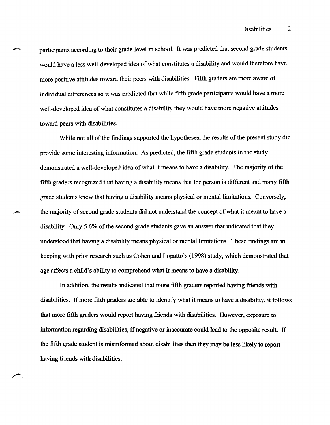participants according to their grade level in school. It was predicted that second grade students would have a less well-developed idea of what constitutes a disability and would therefore have more positive attitudes toward their peers with disabilities. Fifth graders are more aware of individual differences so it was predicted that while fifth grade participants would have a more well-developed idea of what constitutes a disability they would have more negative attitudes toward peers with disabilities.

While not all of the findings supported the hypotheses, the results of the present study did provide some interesting information. As predicted, the fifth grade students in the study demonstrated a well-developed idea of what it means to have a disability. The majority of the fifth graders recognized that having a disability means that the person is different and many fifth grade students knew that having a disability means physical or mental limitations. Conversely, the majority of second grade students did not understand the concept of what it meant to have a disability. Only 5.6% of the second grade students gave an answer that indicated that they understood that having a disability means physical or mental limitations. These findings are in keeping with prior research such as Cohen and Lopatto's (1998) study, which demonstrated that age affects a child's ability to comprehend what it means to have a disability.

In addition, the results indicated that more fifth graders reported having friends with disabilities. If more fifth graders are able to identify what it means to have a disability, it follows that more fifth graders would report having friends with disabilities. However, exposure to information regarding disabilities, if negative or inaccurate could lead to the opposite result. If the fifth grade student is misinformed about disabilities then they may be less likely to report having friends with disabilities.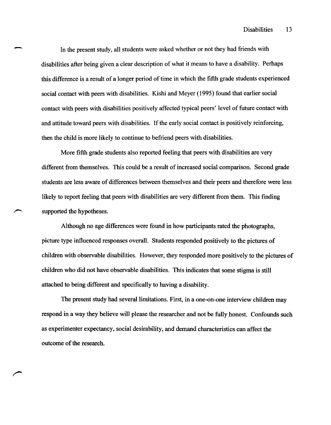Disabilities 13

In the present study, all students were asked whether or not they had friends with disabilities after being given a clear description of what it means to have a disability. Perhaps this difference is a result of a longer period of time in which the fifth grade students experienced social contact with peers with disabilities. Kishi and Meyer (1995) found that earlier social contact with peers with disabilities positively affected typical peers' level of future contact with and attitude toward peers with disabilities. If the early social contact is positively reinforcing, then the child is more likely to continue to befriend peers with disabilities.

-

More fifth grade students also reported feeling that peers with disabilities are very different from themselves. This could be a result of increased social comparison. Second grade students are less aware of differences between themselves and their peers and therefore were less likely to report feeling that peers with disabilities are very different from them. This finding supported the hypotheses.

Although no age differences were found in how participants rated the photographs, picture type influenced responses overall. Students responded positively to the pictures of children with observable disabilities. However, they responded more positively to the pictures of children who did not have observable disabilities. This indicates that some stigma is still attached to being different and specifically to having a disability.

The present study had several limitations. First, in a one-on-one interview children may respond in a way they believe will please the researcher and not be fully honest. Confounds such as experimenter expectancy, social desirability, and demand characteristics can affect the outcome of the research.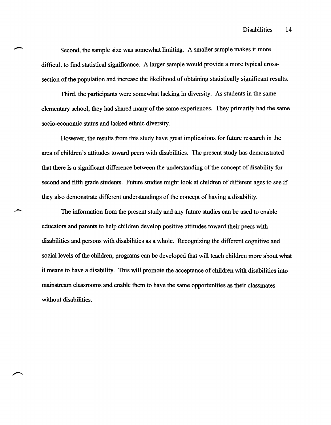Second, the sample size was somewhat limiting. A smaller sample makes it more difficult to find statistical significance. A larger sample would provide a more typical crosssection of the population and increase the likelihood of obtaining statistically significant results.

1bird, the participants were somewhat lacking in diversity. As students in the same elementary school, they had shared many of the same experiences. They primarily had the same socio-economic status and lacked ethnic diversity.

However, the results from this study have great implications for future research in the area of children's attitudes toward peers with disabilities. The present study has demonstrated that there is a significant difference between the understanding of the concept of disability for second and fifth grade students. Future studies might look at children of different ages to see if they also demonstrate different understandings of the concept of having a disability.

The information from the present study and any future studies can be used to enable educators and parents to help children develop positive attitudes toward their peers with disabilities and persons with disabilities as a whole. Recognizing the different cognitive and social levels of the children, programs can be developed that will teach children more about what it means to have a disability. This will promote the acceptance of children with disabilities into mainstream classrooms and enable them to have the same opportunities as their classmates without disabilities.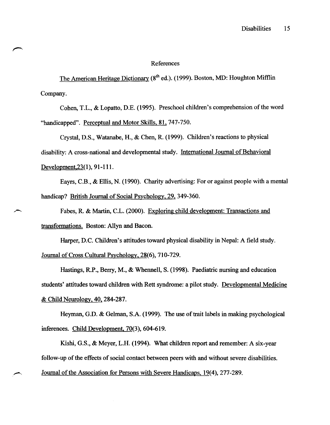## References

The American Heritage Dictionary (8<sup>th</sup> ed.). (1999). Boston, MD: Houghton Mifflin Company.

Cohen, T.L., & Lopatto, D.E. (1995). Preschool children's comprehension of the word "handicapped". Perceptual and Motor Skills, 81, 747-750.

Crystal, D.S., Watanabe, H., & Chen, R (1999). Children's reactions to physical disability: A cross-national and developmental study. International Journal of Behavioral Development, 23(1), 91-111.

Eayrs, C.B., & Ellis, N. (1990). Charity advertising: For or against people with a mental handicap? British Journal of Social Psychology, 29, 349-360.

Fabes, R. & Martin, C.L. (2000). Exploring child development: Transactions and transformations. Boston: Allyn and Bacon.

Harper, D.C. Children's attitudes toward physical disability in Nepal: A field study. Journal of Cross Cultural Psychology, 28(6), 710-729.

Hastings, RP., Berry, M., & Whennell, S. (1998). Paediatric nursing and education students' attitudes toward children with Rett syndrome: a pilot study. Developmental Medicine & Child Neurology, 40, 284-287.

Heyman, G.D. & Gelman, S.A. (1999). The use of trait labels in making psychological inferences. Child Development, 70(3), 604-619.

Kishi, G.S., & Meyer, L.H. (1994). What children report and remember: A six-year follow-up of the effects of social contact between peers with and without severe disabilities. Journal of the Association for Persons with Severe Handicaps, 19(4),277-289.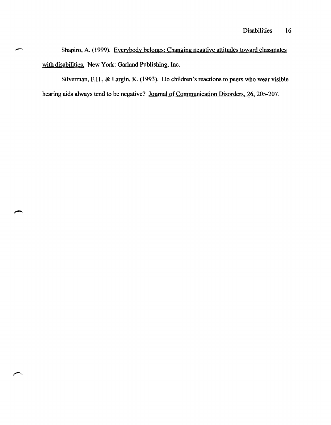Disabilities 16<br>Shapiro, A. (1999). Everybody belongs: Changing negative attitudes toward classmates Shapiro, A. (1999). Everybody belongs: Changing negative attitudes toward classmates with disabilities. New York: Garland Publishing, Inc.

Silverman, F.H., & Largin, K. (1993). Do children's reactions to peers who wear visible hearing aids always tend to be negative? Journal of Communication Disorders, 26, 205-207.

 $\bar{z}$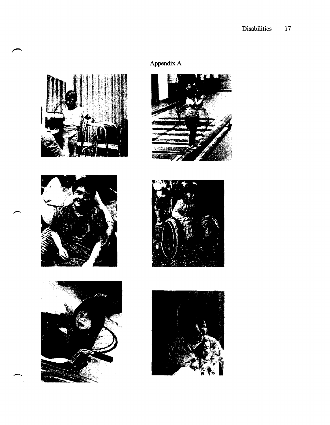





# Appendix A







 $\bar{z}$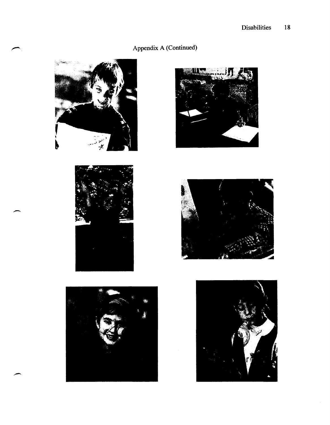# Appendix A (Continued)











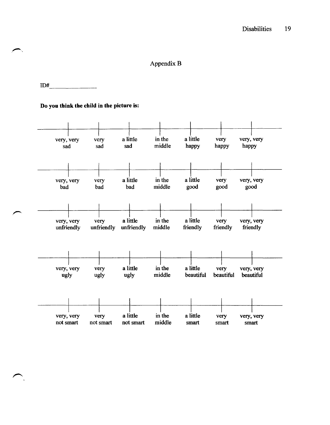## AppendixB

## $ID#$

## Do you think the child in the picture is:

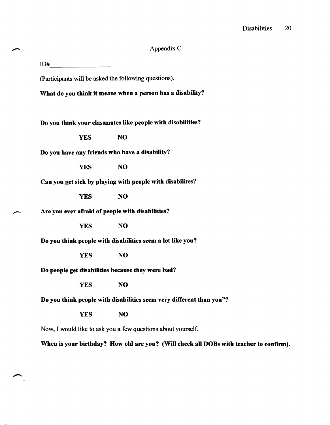## Appendix C

 $ID#$ 

(Participants will be asked the following questions).

What do you think it means when a person has a disability?

Do you think your classmates like people with disabilities?

YES NO

Do you have any friends who have a disability?

YES NO

Can you get sick by playing with people with disabilites?

YES NO

Are you ever afraid of people with disabilities?

YES NO

Do you think people with disabilities seem a lot like you?

YES NO

Do people get disabilities because they were bad?

YES NO

Do you think people with disabilities seem very different than you"?

YES NO

Now, I would like to ask you a few questions about yourself.

When is your birthday? How old are you? (Will check all DOBs with teacher to confirm).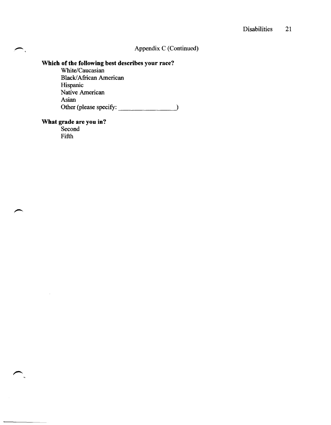## Appendix C (Continued)

## **Which of the following best describes your race?**

White/Caucasian Black/African American Hispanic Native American Asian Other (please specify: \_\_\_\_\_\_\_ ~)

#### **What grade are you in?**

Second Fifth

 $\mathcal{A}$ 

 $\curvearrowleft$ .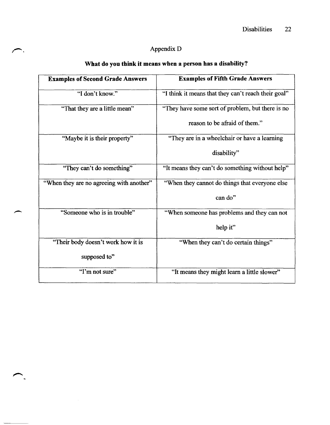# ,-. Appendix D

| <b>Examples of Second Grade Answers</b>  | <b>Examples of Fifth Grade Answers</b>              |
|------------------------------------------|-----------------------------------------------------|
| "I don't know."                          | "I think it means that they can't reach their goal" |
| "That they are a little mean"            | "They have some sort of problem, but there is no    |
|                                          | reason to be afraid of them."                       |
| "Maybe it is their property"             | "They are in a wheelchair or have a learning        |
|                                          | disability"                                         |
| "They can't do something"                | "It means they can't do something without help"     |
| "When they are no agreeing with another" | "When they cannot do things that everyone else      |
|                                          | can do"                                             |
| "Someone who is in trouble"              | "When someone has problems and they can not         |
|                                          | help it"                                            |
| "Their body doesn't work how it is       | "When they can't do certain things"                 |
| supposed to"                             |                                                     |
| "I'm not sure"                           | "It means they might learn a little slower"         |

 $\ddot{\phantom{0}}$ 

# What do you think it means when a person has a disability?